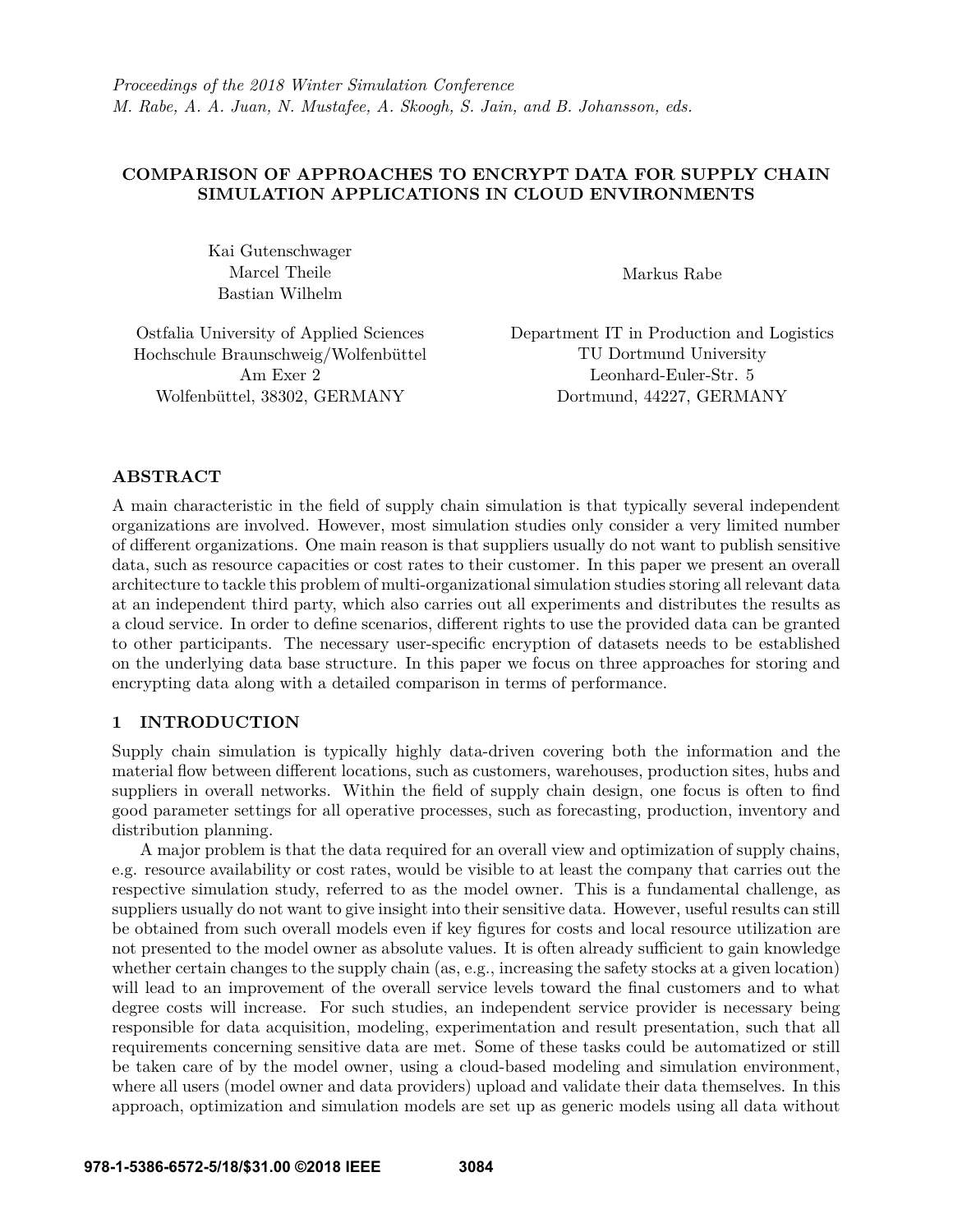# **COMPARISON OF APPROACHES TO ENCRYPT DATA FOR SUPPLY CHAIN SIMULATION APPLICATIONS IN CLOUD ENVIRONMENTS**

Kai Gutenschwager Marcel Theile Bastian Wilhelm

Markus Rabe

Ostfalia University of Applied Sciences Hochschule Braunschweig/Wolfenbüttel Am Exer 2 Wolfenbüttel, 38302, GERMANY

Department IT in Production and Logistics TU Dortmund University Leonhard-Euler-Str. 5 Dortmund, 44227, GERMANY

# **ABSTRACT**

A main characteristic in the field of supply chain simulation is that typically several independent organizations are involved. However, most simulation studies only consider a very limited number of different organizations. One main reason is that suppliers usually do not want to publish sensitive data, such as resource capacities or cost rates to their customer. In this paper we present an overall architecture to tackle this problem of multi-organizational simulation studies storing all relevant data at an independent third party, which also carries out all experiments and distributes the results as a cloud service. In order to define scenarios, different rights to use the provided data can be granted to other participants. The necessary user-specific encryption of datasets needs to be established on the underlying data base structure. In this paper we focus on three approaches for storing and encrypting data along with a detailed comparison in terms of performance.

# **1 INTRODUCTION**

Supply chain simulation is typically highly data-driven covering both the information and the material flow between different locations, such as customers, warehouses, production sites, hubs and suppliers in overall networks. Within the field of supply chain design, one focus is often to find good parameter settings for all operative processes, such as forecasting, production, inventory and distribution planning.

A major problem is that the data required for an overall view and optimization of supply chains, e.g. resource availability or cost rates, would be visible to at least the company that carries out the respective simulation study, referred to as the model owner. This is a fundamental challenge, as suppliers usually do not want to give insight into their sensitive data. However, useful results can still be obtained from such overall models even if key figures for costs and local resource utilization are not presented to the model owner as absolute values. It is often already sufficient to gain knowledge whether certain changes to the supply chain (as, e.g., increasing the safety stocks at a given location) will lead to an improvement of the overall service levels toward the final customers and to what degree costs will increase. For such studies, an independent service provider is necessary being responsible for data acquisition, modeling, experimentation and result presentation, such that all requirements concerning sensitive data are met. Some of these tasks could be automatized or still be taken care of by the model owner, using a cloud-based modeling and simulation environment, where all users (model owner and data providers) upload and validate their data themselves. In this approach, optimization and simulation models are set up as generic models using all data without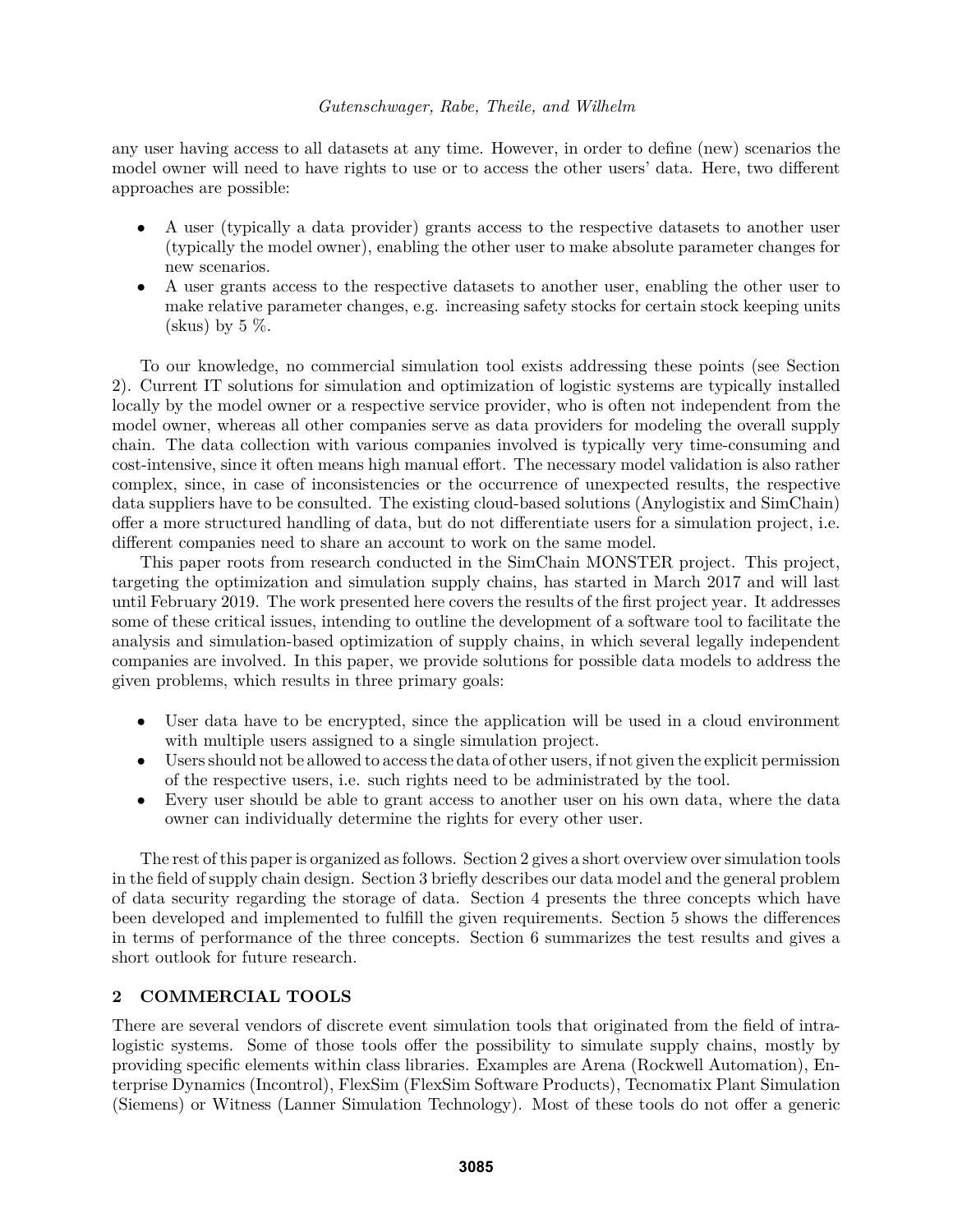any user having access to all datasets at any time. However, in order to define (new) scenarios the model owner will need to have rights to use or to access the other users' data. Here, two different approaches are possible:

- A user (typically a data provider) grants access to the respective datasets to another user (typically the model owner), enabling the other user to make absolute parameter changes for new scenarios.
- A user grants access to the respective datasets to another user, enabling the other user to make relative parameter changes, e.g. increasing safety stocks for certain stock keeping units (skus) by  $5\%$ .

To our knowledge, no commercial simulation tool exists addressing these points (see Section 2). Current IT solutions for simulation and optimization of logistic systems are typically installed locally by the model owner or a respective service provider, who is often not independent from the model owner, whereas all other companies serve as data providers for modeling the overall supply chain. The data collection with various companies involved is typically very time-consuming and cost-intensive, since it often means high manual effort. The necessary model validation is also rather complex, since, in case of inconsistencies or the occurrence of unexpected results, the respective data suppliers have to be consulted. The existing cloud-based solutions (Anylogistix and SimChain) offer a more structured handling of data, but do not differentiate users for a simulation project, i.e. different companies need to share an account to work on the same model.

This paper roots from research conducted in the SimChain MONSTER project. This project, targeting the optimization and simulation supply chains, has started in March 2017 and will last until February 2019. The work presented here covers the results of the first project year. It addresses some of these critical issues, intending to outline the development of a software tool to facilitate the analysis and simulation-based optimization of supply chains, in which several legally independent companies are involved. In this paper, we provide solutions for possible data models to address the given problems, which results in three primary goals:

- User data have to be encrypted, since the application will be used in a cloud environment with multiple users assigned to a single simulation project.
- Users should not be allowed to access the data of other users, if not given the explicit permission of the respective users, i.e. such rights need to be administrated by the tool.
- Every user should be able to grant access to another user on his own data, where the data owner can individually determine the rights for every other user.

The rest of this paper is organized as follows. Section 2 gives a short overview over simulation tools in the field of supply chain design. Section 3 briefly describes our data model and the general problem of data security regarding the storage of data. Section 4 presents the three concepts which have been developed and implemented to fulfill the given requirements. Section 5 shows the differences in terms of performance of the three concepts. Section 6 summarizes the test results and gives a short outlook for future research.

# **2 COMMERCIAL TOOLS**

There are several vendors of discrete event simulation tools that originated from the field of intralogistic systems. Some of those tools offer the possibility to simulate supply chains, mostly by providing specific elements within class libraries. Examples are Arena (Rockwell Automation), Enterprise Dynamics (Incontrol), FlexSim (FlexSim Software Products), Tecnomatix Plant Simulation (Siemens) or Witness (Lanner Simulation Technology). Most of these tools do not offer a generic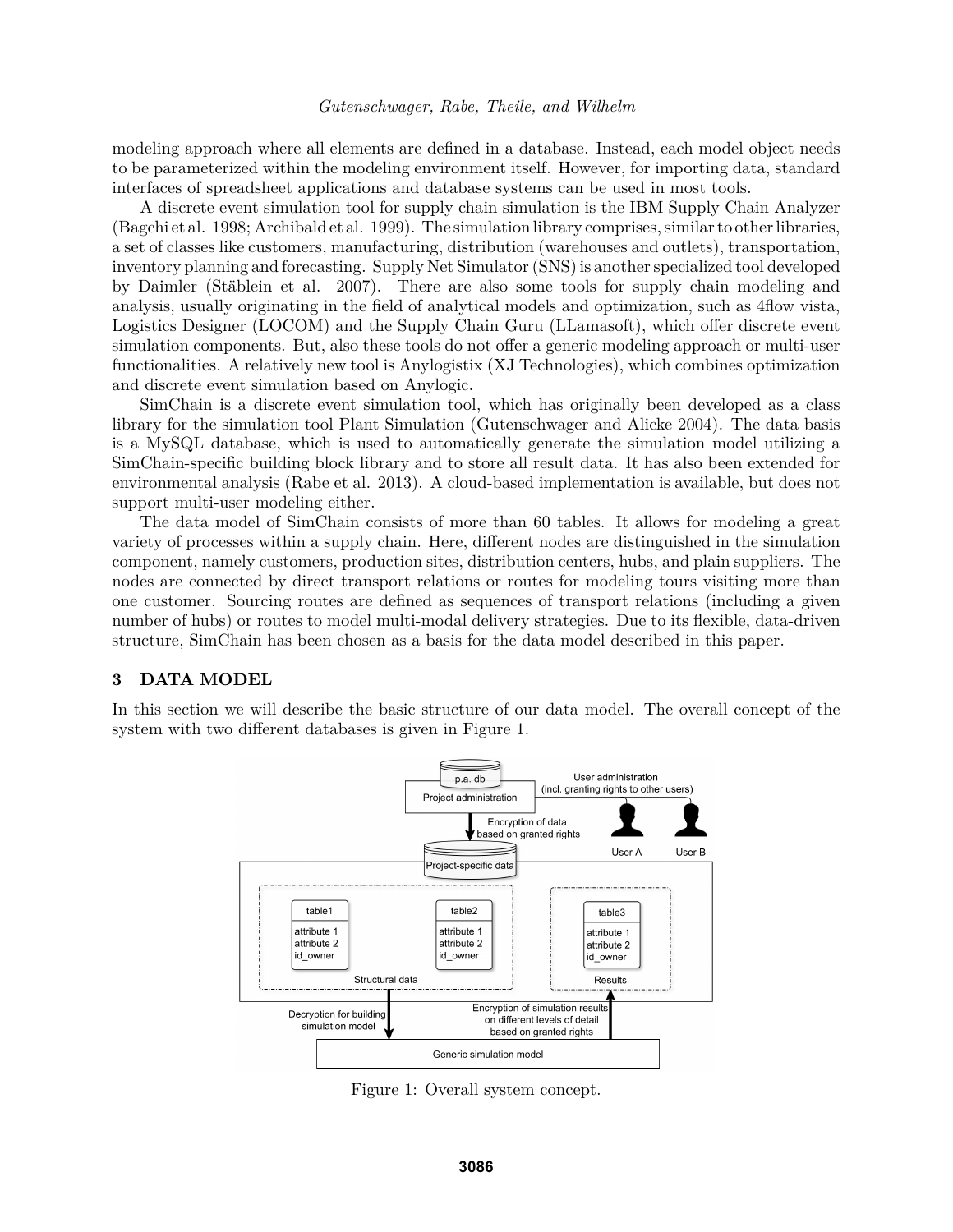modeling approach where all elements are defined in a database. Instead, each model object needs to be parameterized within the modeling environment itself. However, for importing data, standard interfaces of spreadsheet applications and database systems can be used in most tools.

A discrete event simulation tool for supply chain simulation is the IBM Supply Chain Analyzer (Bagchi et al. 1998; Archibald et al. 1999). The simulation library comprises, similar to other libraries, a set of classes like customers, manufacturing, distribution (warehouses and outlets), transportation, inventory planning and forecasting. Supply Net Simulator (SNS) is another specialized tool developed by Daimler (Stäblein et al. 2007). There are also some tools for supply chain modeling and analysis, usually originating in the field of analytical models and optimization, such as 4flow vista, Logistics Designer (LOCOM) and the Supply Chain Guru (LLamasoft), which offer discrete event simulation components. But, also these tools do not offer a generic modeling approach or multi-user functionalities. A relatively new tool is Anylogistix (XJ Technologies), which combines optimization and discrete event simulation based on Anylogic.

SimChain is a discrete event simulation tool, which has originally been developed as a class library for the simulation tool Plant Simulation (Gutenschwager and Alicke 2004). The data basis is a MySQL database, which is used to automatically generate the simulation model utilizing a SimChain-specific building block library and to store all result data. It has also been extended for environmental analysis (Rabe et al. 2013). A cloud-based implementation is available, but does not support multi-user modeling either.

The data model of SimChain consists of more than 60 tables. It allows for modeling a great variety of processes within a supply chain. Here, different nodes are distinguished in the simulation component, namely customers, production sites, distribution centers, hubs, and plain suppliers. The nodes are connected by direct transport relations or routes for modeling tours visiting more than one customer. Sourcing routes are defined as sequences of transport relations (including a given number of hubs) or routes to model multi-modal delivery strategies. Due to its flexible, data-driven structure, SimChain has been chosen as a basis for the data model described in this paper.

#### **3 DATA MODEL**

In this section we will describe the basic structure of our data model. The overall concept of the system with two different databases is given in Figure 1.



Figure 1: Overall system concept.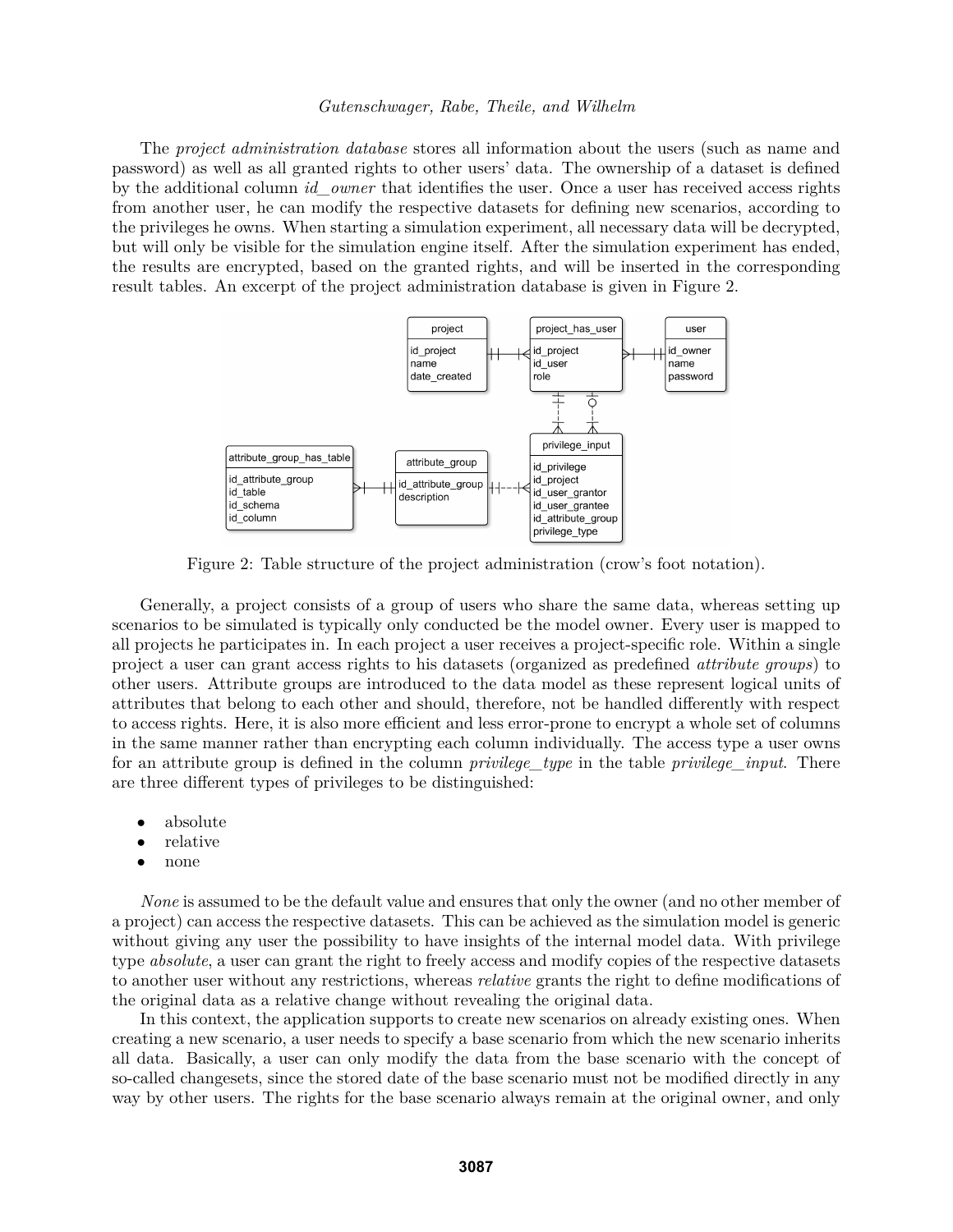The *project administration database* stores all information about the users (such as name and password) as well as all granted rights to other users' data. The ownership of a dataset is defined by the additional column *id\_owner* that identifies the user. Once a user has received access rights from another user, he can modify the respective datasets for defining new scenarios, according to the privileges he owns. When starting a simulation experiment, all necessary data will be decrypted, but will only be visible for the simulation engine itself. After the simulation experiment has ended, the results are encrypted, based on the granted rights, and will be inserted in the corresponding result tables. An excerpt of the project administration database is given in Figure 2.



Figure 2: Table structure of the project administration (crow's foot notation).

Generally, a project consists of a group of users who share the same data, whereas setting up scenarios to be simulated is typically only conducted be the model owner. Every user is mapped to all projects he participates in. In each project a user receives a project-specific role. Within a single project a user can grant access rights to his datasets (organized as predefined *attribute groups*) to other users. Attribute groups are introduced to the data model as these represent logical units of attributes that belong to each other and should, therefore, not be handled differently with respect to access rights. Here, it is also more efficient and less error-prone to encrypt a whole set of columns in the same manner rather than encrypting each column individually. The access type a user owns for an attribute group is defined in the column *privilege\_type* in the table *privilege\_input*. There are three different types of privileges to be distinguished:

- absolute
- relative
- none

*None* is assumed to be the default value and ensures that only the owner (and no other member of a project) can access the respective datasets. This can be achieved as the simulation model is generic without giving any user the possibility to have insights of the internal model data. With privilege type *absolute*, a user can grant the right to freely access and modify copies of the respective datasets to another user without any restrictions, whereas *relative* grants the right to define modifications of the original data as a relative change without revealing the original data.

In this context, the application supports to create new scenarios on already existing ones. When creating a new scenario, a user needs to specify a base scenario from which the new scenario inherits all data. Basically, a user can only modify the data from the base scenario with the concept of so-called changesets, since the stored date of the base scenario must not be modified directly in any way by other users. The rights for the base scenario always remain at the original owner, and only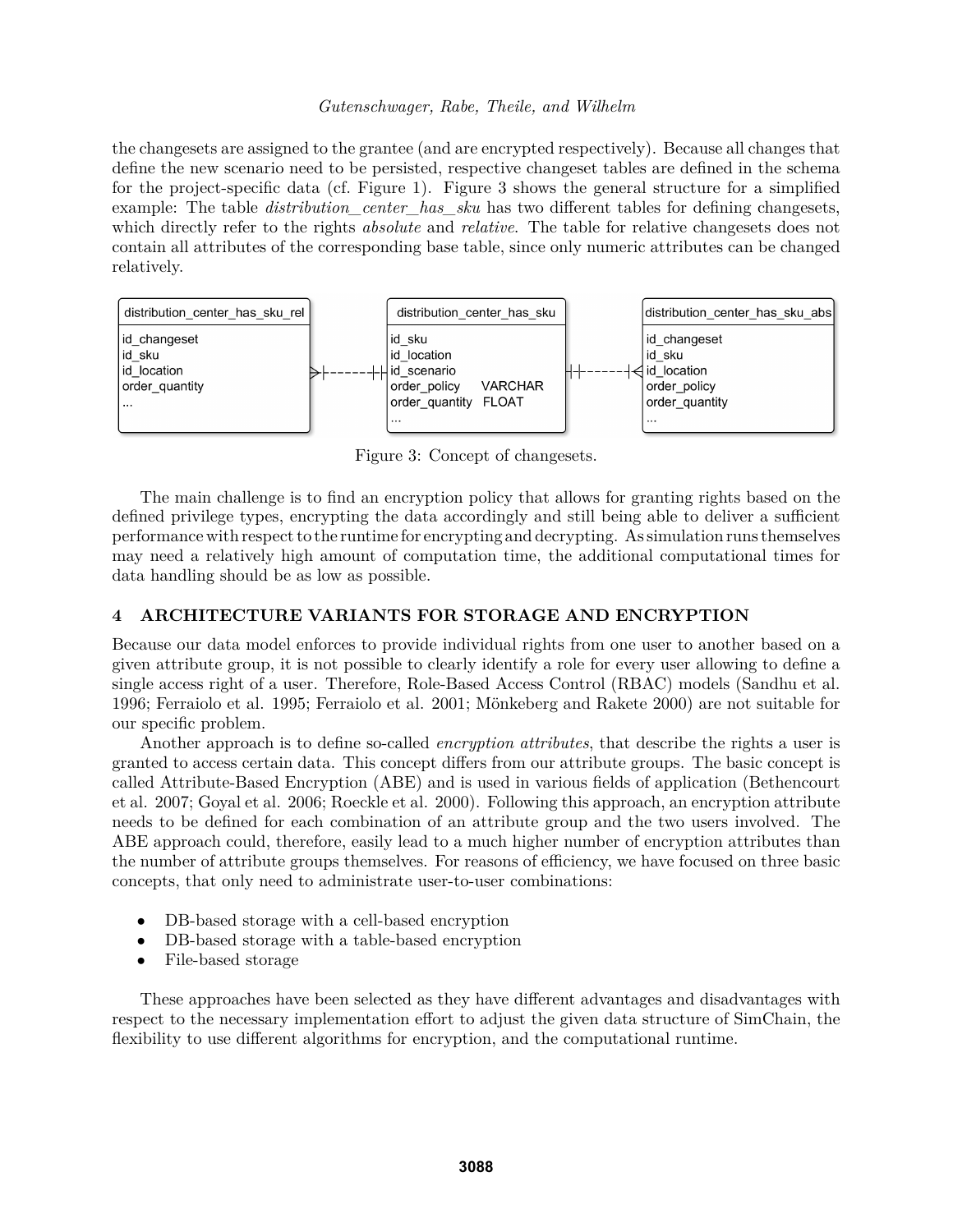the changesets are assigned to the grantee (and are encrypted respectively). Because all changes that define the new scenario need to be persisted, respective changeset tables are defined in the schema for the project-specific data (cf. Figure 1). Figure 3 shows the general structure for a simplified example: The table *distribution* center has sku has two different tables for defining changesets, which directly refer to the rights *absolute* and *relative*. The table for relative changesets does not contain all attributes of the corresponding base table, since only numeric attributes can be changed relatively.



Figure 3: Concept of changesets.

The main challenge is to find an encryption policy that allows for granting rights based on the defined privilege types, encrypting the data accordingly and still being able to deliver a sufficient performance with respect to the runtime for encrypting and decrypting. As simulation runs themselves may need a relatively high amount of computation time, the additional computational times for data handling should be as low as possible.

# **4 ARCHITECTURE VARIANTS FOR STORAGE AND ENCRYPTION**

Because our data model enforces to provide individual rights from one user to another based on a given attribute group, it is not possible to clearly identify a role for every user allowing to define a single access right of a user. Therefore, Role-Based Access Control (RBAC) models (Sandhu et al. 1996; Ferraiolo et al. 1995; Ferraiolo et al. 2001; Mönkeberg and Rakete 2000) are not suitable for our specific problem.

Another approach is to define so-called *encryption attributes*, that describe the rights a user is granted to access certain data. This concept differs from our attribute groups. The basic concept is called Attribute-Based Encryption (ABE) and is used in various fields of application (Bethencourt et al. 2007; Goyal et al. 2006; Roeckle et al. 2000). Following this approach, an encryption attribute needs to be defined for each combination of an attribute group and the two users involved. The ABE approach could, therefore, easily lead to a much higher number of encryption attributes than the number of attribute groups themselves. For reasons of efficiency, we have focused on three basic concepts, that only need to administrate user-to-user combinations:

- DB-based storage with a cell-based encryption
- DB-based storage with a table-based encryption
- File-based storage

These approaches have been selected as they have different advantages and disadvantages with respect to the necessary implementation effort to adjust the given data structure of SimChain, the flexibility to use different algorithms for encryption, and the computational runtime.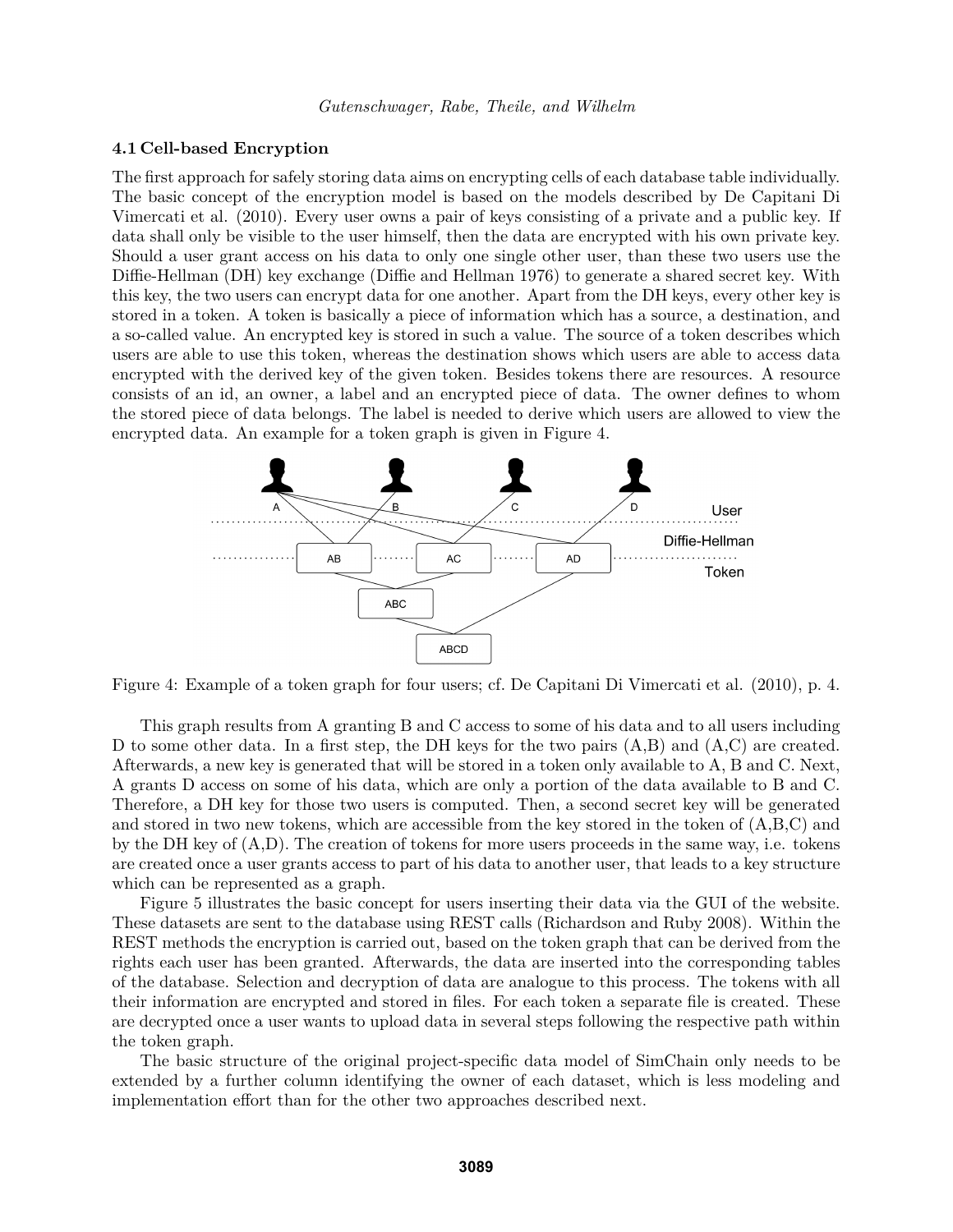#### **4.1 Cell-based Encryption**

The first approach for safely storing data aims on encrypting cells of each database table individually. The basic concept of the encryption model is based on the models described by De Capitani Di Vimercati et al. (2010). Every user owns a pair of keys consisting of a private and a public key. If data shall only be visible to the user himself, then the data are encrypted with his own private key. Should a user grant access on his data to only one single other user, than these two users use the Diffie-Hellman (DH) key exchange (Diffie and Hellman 1976) to generate a shared secret key. With this key, the two users can encrypt data for one another. Apart from the DH keys, every other key is stored in a token. A token is basically a piece of information which has a source, a destination, and a so-called value. An encrypted key is stored in such a value. The source of a token describes which users are able to use this token, whereas the destination shows which users are able to access data encrypted with the derived key of the given token. Besides tokens there are resources. A resource consists of an id, an owner, a label and an encrypted piece of data. The owner defines to whom the stored piece of data belongs. The label is needed to derive which users are allowed to view the encrypted data. An example for a token graph is given in Figure 4.



Figure 4: Example of a token graph for four users; cf. De Capitani Di Vimercati et al. (2010), p. 4.

This graph results from A granting B and C access to some of his data and to all users including D to some other data. In a first step, the DH keys for the two pairs (A,B) and (A,C) are created. Afterwards, a new key is generated that will be stored in a token only available to A, B and C. Next, A grants D access on some of his data, which are only a portion of the data available to B and C. Therefore, a DH key for those two users is computed. Then, a second secret key will be generated and stored in two new tokens, which are accessible from the key stored in the token of (A,B,C) and by the DH key of (A,D). The creation of tokens for more users proceeds in the same way, i.e. tokens are created once a user grants access to part of his data to another user, that leads to a key structure which can be represented as a graph.

Figure 5 illustrates the basic concept for users inserting their data via the GUI of the website. These datasets are sent to the database using REST calls (Richardson and Ruby 2008). Within the REST methods the encryption is carried out, based on the token graph that can be derived from the rights each user has been granted. Afterwards, the data are inserted into the corresponding tables of the database. Selection and decryption of data are analogue to this process. The tokens with all their information are encrypted and stored in files. For each token a separate file is created. These are decrypted once a user wants to upload data in several steps following the respective path within the token graph.

The basic structure of the original project-specific data model of SimChain only needs to be extended by a further column identifying the owner of each dataset, which is less modeling and implementation effort than for the other two approaches described next.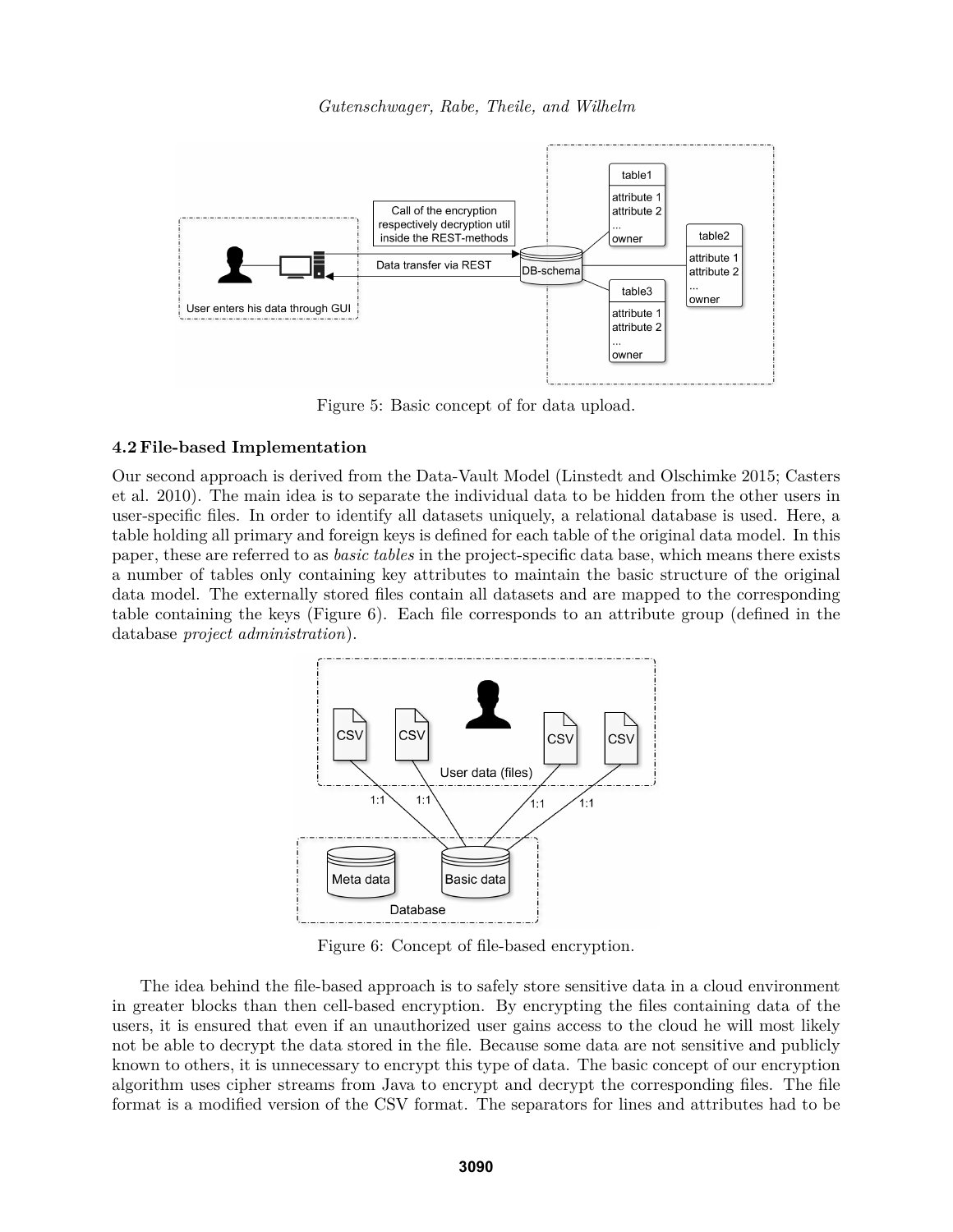

Figure 5: Basic concept of for data upload.

#### **4.2 File-based Implementation**

Our second approach is derived from the Data-Vault Model (Linstedt and Olschimke 2015; Casters et al. 2010). The main idea is to separate the individual data to be hidden from the other users in user-specific files. In order to identify all datasets uniquely, a relational database is used. Here, a table holding all primary and foreign keys is defined for each table of the original data model. In this paper, these are referred to as *basic tables* in the project-specific data base, which means there exists a number of tables only containing key attributes to maintain the basic structure of the original data model. The externally stored files contain all datasets and are mapped to the corresponding table containing the keys (Figure 6). Each file corresponds to an attribute group (defined in the database *project administration*).



Figure 6: Concept of file-based encryption.

The idea behind the file-based approach is to safely store sensitive data in a cloud environment in greater blocks than then cell-based encryption. By encrypting the files containing data of the users, it is ensured that even if an unauthorized user gains access to the cloud he will most likely not be able to decrypt the data stored in the file. Because some data are not sensitive and publicly known to others, it is unnecessary to encrypt this type of data. The basic concept of our encryption algorithm uses cipher streams from Java to encrypt and decrypt the corresponding files. The file format is a modified version of the CSV format. The separators for lines and attributes had to be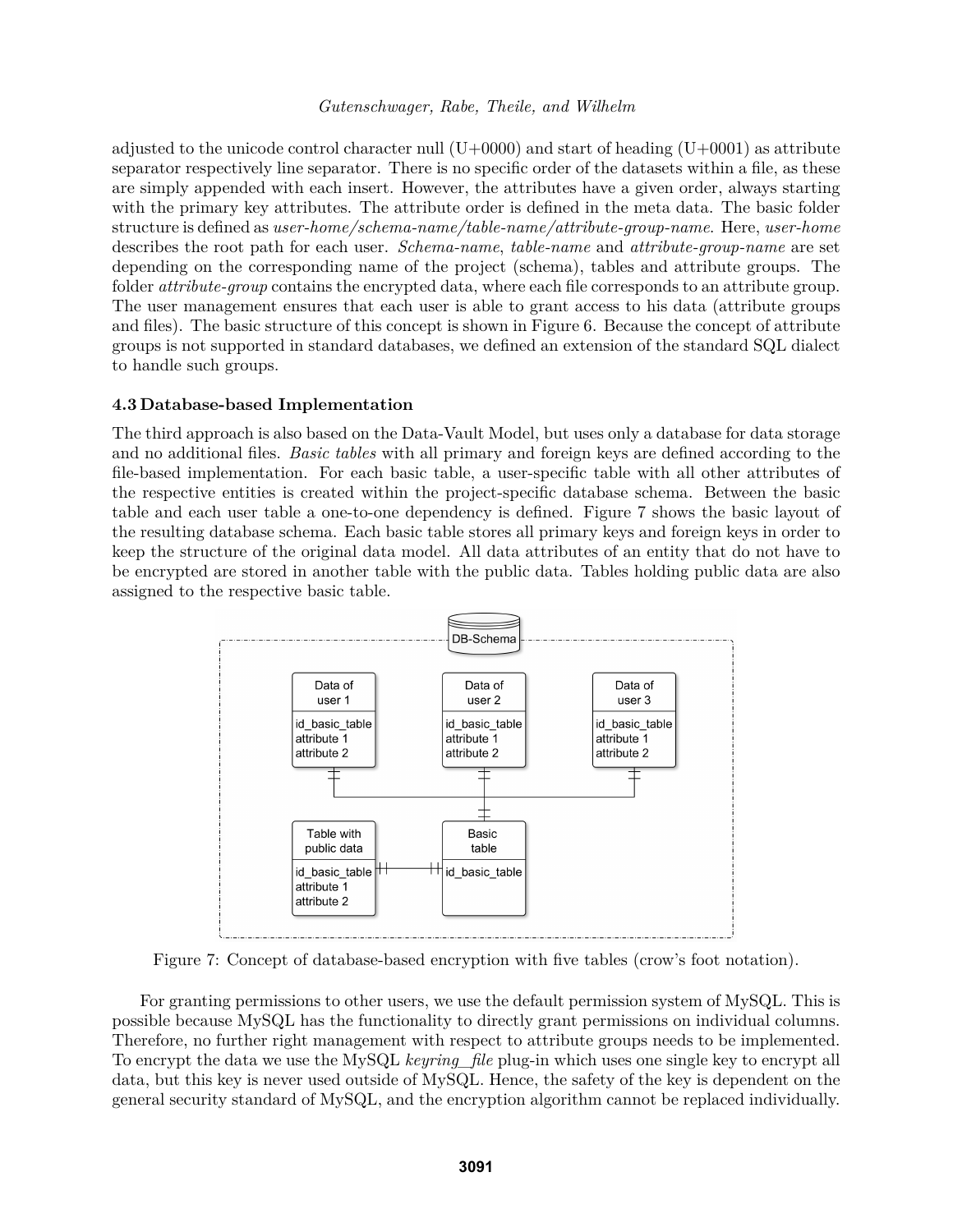adjusted to the unicode control character null  $(U+0000)$  and start of heading  $(U+0001)$  as attribute separator respectively line separator. There is no specific order of the datasets within a file, as these are simply appended with each insert. However, the attributes have a given order, always starting with the primary key attributes. The attribute order is defined in the meta data. The basic folder structure is defined as *user-home/schema-name/table-name/attribute-group-name*. Here, *user-home* describes the root path for each user. *Schema-name*, *table-name* and *attribute-group-name* are set depending on the corresponding name of the project (schema), tables and attribute groups. The folder *attribute-group* contains the encrypted data, where each file corresponds to an attribute group. The user management ensures that each user is able to grant access to his data (attribute groups and files). The basic structure of this concept is shown in Figure 6. Because the concept of attribute groups is not supported in standard databases, we defined an extension of the standard SQL dialect to handle such groups.

## **4.3 Database-based Implementation**

The third approach is also based on the Data-Vault Model, but uses only a database for data storage and no additional files. *Basic tables* with all primary and foreign keys are defined according to the file-based implementation. For each basic table, a user-specific table with all other attributes of the respective entities is created within the project-specific database schema. Between the basic table and each user table a one-to-one dependency is defined. Figure 7 shows the basic layout of the resulting database schema. Each basic table stores all primary keys and foreign keys in order to keep the structure of the original data model. All data attributes of an entity that do not have to be encrypted are stored in another table with the public data. Tables holding public data are also assigned to the respective basic table.



Figure 7: Concept of database-based encryption with five tables (crow's foot notation).

For granting permissions to other users, we use the default permission system of MySQL. This is possible because MySQL has the functionality to directly grant permissions on individual columns. Therefore, no further right management with respect to attribute groups needs to be implemented. To encrypt the data we use the MySQL *keyring\_file* plug-in which uses one single key to encrypt all data, but this key is never used outside of MySQL. Hence, the safety of the key is dependent on the general security standard of MySQL, and the encryption algorithm cannot be replaced individually.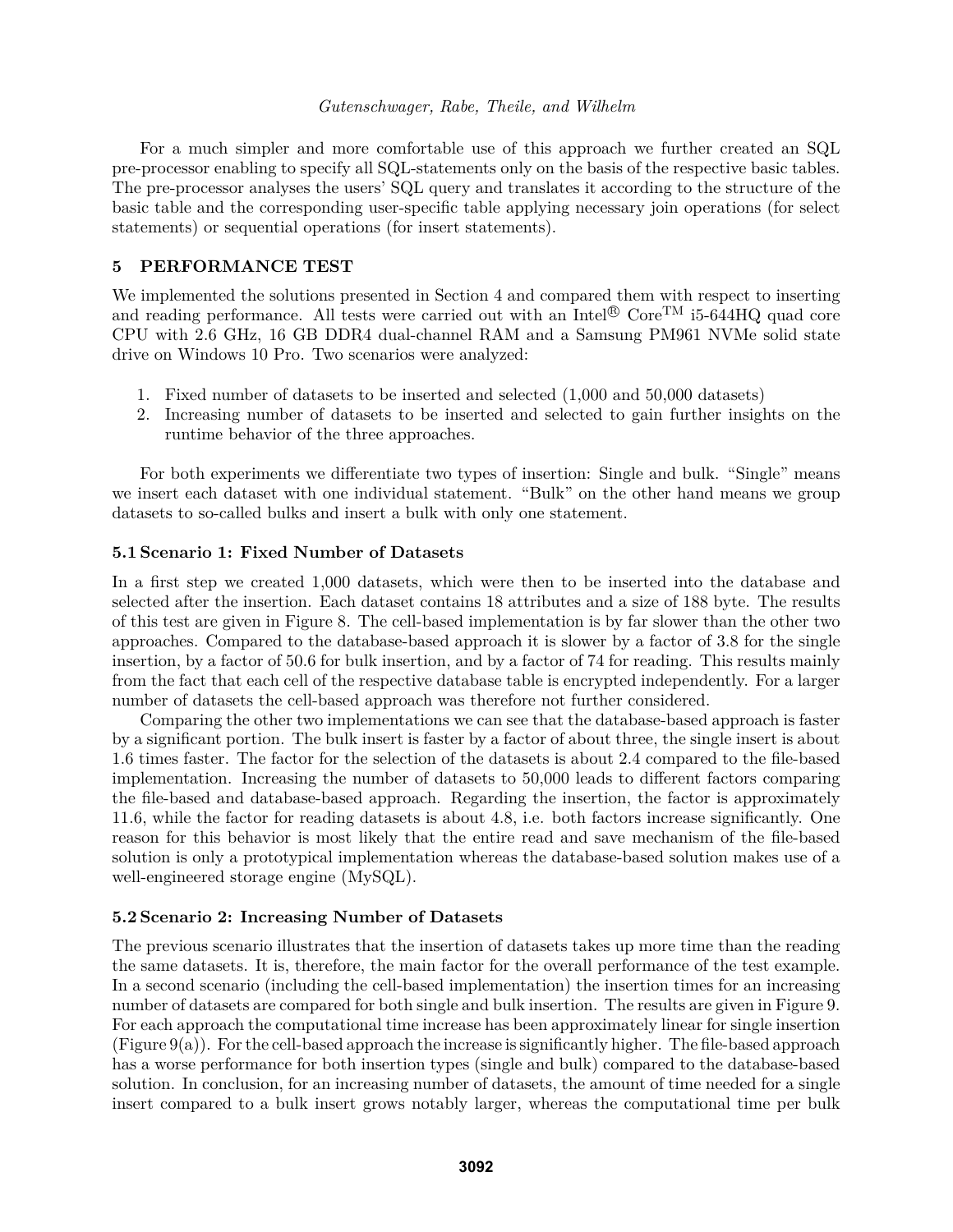For a much simpler and more comfortable use of this approach we further created an SQL pre-processor enabling to specify all SQL-statements only on the basis of the respective basic tables. The pre-processor analyses the users' SQL query and translates it according to the structure of the basic table and the corresponding user-specific table applying necessary join operations (for select statements) or sequential operations (for insert statements).

## **5 PERFORMANCE TEST**

We implemented the solutions presented in Section 4 and compared them with respect to inserting and reading performance. All tests were carried out with an Intel $\mathcal{O}$  Core<sup>TM</sup> i5-644HQ quad core CPU with 2.6 GHz, 16 GB DDR4 dual-channel RAM and a Samsung PM961 NVMe solid state drive on Windows 10 Pro. Two scenarios were analyzed:

- 1. Fixed number of datasets to be inserted and selected (1,000 and 50,000 datasets)
- 2. Increasing number of datasets to be inserted and selected to gain further insights on the runtime behavior of the three approaches.

For both experiments we differentiate two types of insertion: Single and bulk. "Single" means we insert each dataset with one individual statement. "Bulk" on the other hand means we group datasets to so-called bulks and insert a bulk with only one statement.

### **5.1 Scenario 1: Fixed Number of Datasets**

In a first step we created 1,000 datasets, which were then to be inserted into the database and selected after the insertion. Each dataset contains 18 attributes and a size of 188 byte. The results of this test are given in Figure 8. The cell-based implementation is by far slower than the other two approaches. Compared to the database-based approach it is slower by a factor of 3.8 for the single insertion, by a factor of 50.6 for bulk insertion, and by a factor of 74 for reading. This results mainly from the fact that each cell of the respective database table is encrypted independently. For a larger number of datasets the cell-based approach was therefore not further considered.

Comparing the other two implementations we can see that the database-based approach is faster by a significant portion. The bulk insert is faster by a factor of about three, the single insert is about 1.6 times faster. The factor for the selection of the datasets is about 2.4 compared to the file-based implementation. Increasing the number of datasets to 50,000 leads to different factors comparing the file-based and database-based approach. Regarding the insertion, the factor is approximately 11.6, while the factor for reading datasets is about 4.8, i.e. both factors increase significantly. One reason for this behavior is most likely that the entire read and save mechanism of the file-based solution is only a prototypical implementation whereas the database-based solution makes use of a well-engineered storage engine (MySQL).

### **5.2 Scenario 2: Increasing Number of Datasets**

The previous scenario illustrates that the insertion of datasets takes up more time than the reading the same datasets. It is, therefore, the main factor for the overall performance of the test example. In a second scenario (including the cell-based implementation) the insertion times for an increasing number of datasets are compared for both single and bulk insertion. The results are given in Figure 9. For each approach the computational time increase has been approximately linear for single insertion  $(Figure 9(a))$ . For the cell-based approach the increase is significantly higher. The file-based approach has a worse performance for both insertion types (single and bulk) compared to the database-based solution. In conclusion, for an increasing number of datasets, the amount of time needed for a single insert compared to a bulk insert grows notably larger, whereas the computational time per bulk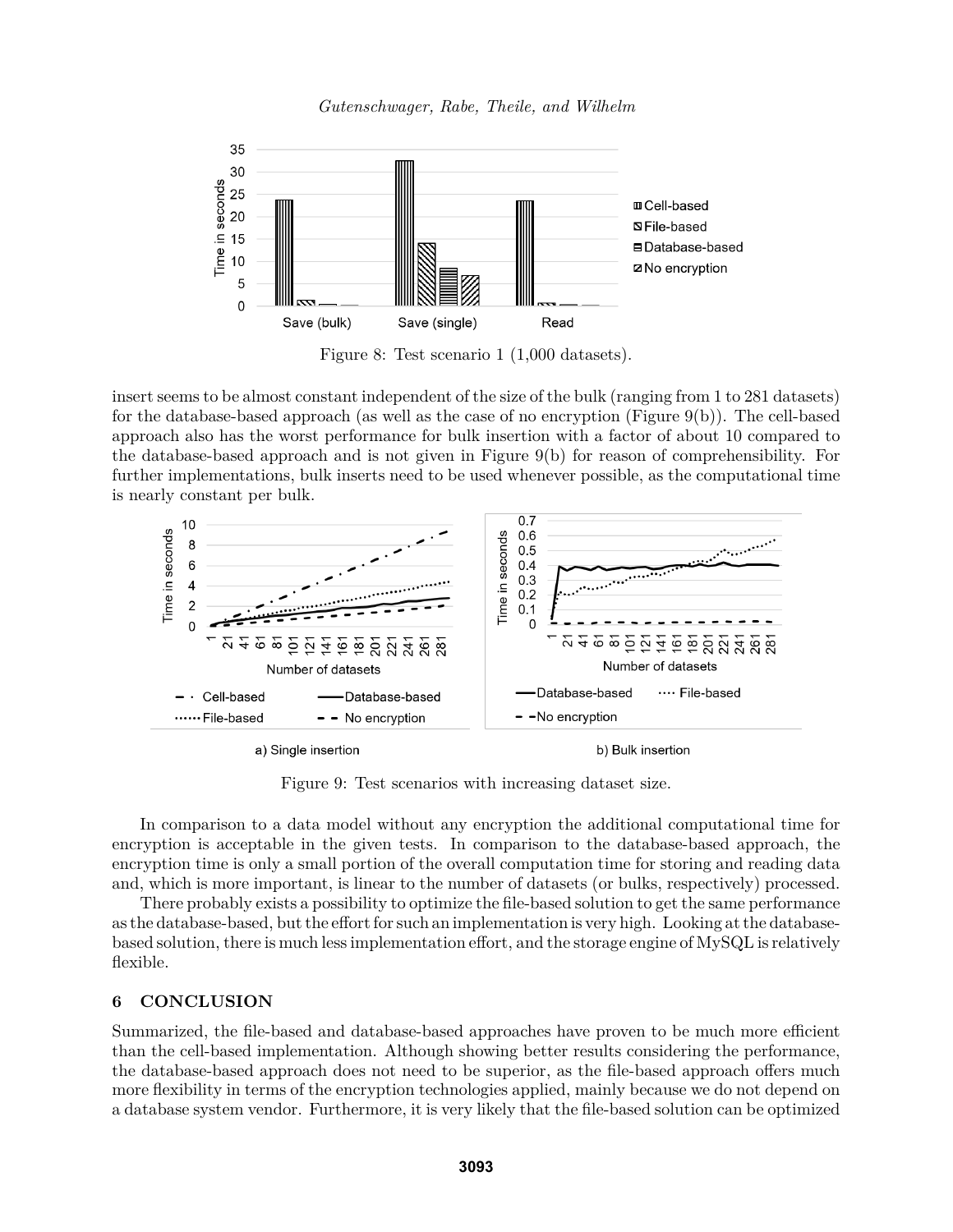



Figure 8: Test scenario 1 (1,000 datasets).

insert seems to be almost constant independent of the size of the bulk (ranging from 1 to 281 datasets) for the database-based approach (as well as the case of no encryption (Figure 9(b)). The cell-based approach also has the worst performance for bulk insertion with a factor of about 10 compared to the database-based approach and is not given in Figure 9(b) for reason of comprehensibility. For further implementations, bulk inserts need to be used whenever possible, as the computational time is nearly constant per bulk.



a) Single insertion

b) Bulk insertion

Figure 9: Test scenarios with increasing dataset size.

In comparison to a data model without any encryption the additional computational time for encryption is acceptable in the given tests. In comparison to the database-based approach, the encryption time is only a small portion of the overall computation time for storing and reading data and, which is more important, is linear to the number of datasets (or bulks, respectively) processed.

There probably exists a possibility to optimize the file-based solution to get the same performance as the database-based, but the effort for such an implementation is very high. Looking at the databasebased solution, there is much less implementation effort, and the storage engine of MySQL is relatively flexible.

## **6 CONCLUSION**

Summarized, the file-based and database-based approaches have proven to be much more efficient than the cell-based implementation. Although showing better results considering the performance, the database-based approach does not need to be superior, as the file-based approach offers much more flexibility in terms of the encryption technologies applied, mainly because we do not depend on a database system vendor. Furthermore, it is very likely that the file-based solution can be optimized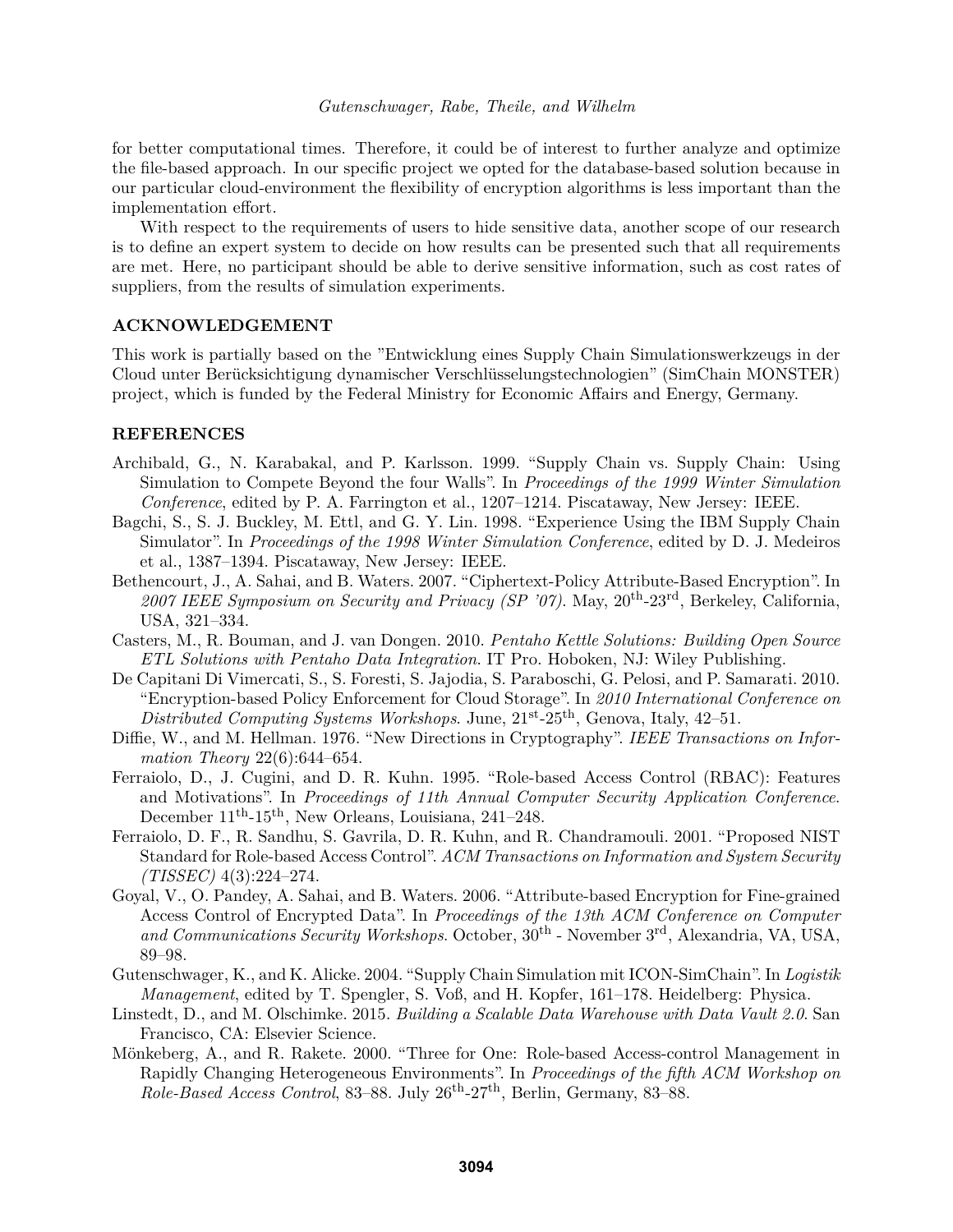for better computational times. Therefore, it could be of interest to further analyze and optimize the file-based approach. In our specific project we opted for the database-based solution because in our particular cloud-environment the flexibility of encryption algorithms is less important than the implementation effort.

With respect to the requirements of users to hide sensitive data, another scope of our research is to define an expert system to decide on how results can be presented such that all requirements are met. Here, no participant should be able to derive sensitive information, such as cost rates of suppliers, from the results of simulation experiments.

## **ACKNOWLEDGEMENT**

This work is partially based on the "Entwicklung eines Supply Chain Simulationswerkzeugs in der Cloud unter Berücksichtigung dynamischer Verschlüsselungstechnologien" (SimChain MONSTER) project, which is funded by the Federal Ministry for Economic Affairs and Energy, Germany.

## **REFERENCES**

- Archibald, G., N. Karabakal, and P. Karlsson. 1999. "Supply Chain vs. Supply Chain: Using Simulation to Compete Beyond the four Walls". In *Proceedings of the 1999 Winter Simulation Conference*, edited by P. A. Farrington et al., 1207–1214. Piscataway, New Jersey: IEEE.
- Bagchi, S., S. J. Buckley, M. Ettl, and G. Y. Lin. 1998. "Experience Using the IBM Supply Chain Simulator". In *Proceedings of the 1998 Winter Simulation Conference*, edited by D. J. Medeiros et al., 1387–1394. Piscataway, New Jersey: IEEE.
- Bethencourt, J., A. Sahai, and B. Waters. 2007. "Ciphertext-Policy Attribute-Based Encryption". In *2007 IEEE Symposium on Security and Privacy (SP '07)*. May, 20th-23rd, Berkeley, California, USA, 321–334.
- Casters, M., R. Bouman, and J. van Dongen. 2010. *Pentaho Kettle Solutions: Building Open Source ETL Solutions with Pentaho Data Integration*. IT Pro. Hoboken, NJ: Wiley Publishing.
- De Capitani Di Vimercati, S., S. Foresti, S. Jajodia, S. Paraboschi, G. Pelosi, and P. Samarati. 2010. "Encryption-based Policy Enforcement for Cloud Storage". In *2010 International Conference on Distributed Computing Systems Workshops*. June,  $21^{st}$ - $25^{th}$ , Genova, Italy, 42–51.
- Diffie, W., and M. Hellman. 1976. "New Directions in Cryptography". *IEEE Transactions on Information Theory* 22(6):644–654.
- Ferraiolo, D., J. Cugini, and D. R. Kuhn. 1995. "Role-based Access Control (RBAC): Features and Motivations". In *Proceedings of 11th Annual Computer Security Application Conference*. December  $11<sup>th</sup>$ -15<sup>th</sup>, New Orleans, Louisiana, 241–248.
- Ferraiolo, D. F., R. Sandhu, S. Gavrila, D. R. Kuhn, and R. Chandramouli. 2001. "Proposed NIST Standard for Role-based Access Control". *ACM Transactions on Information and System Security (TISSEC)* 4(3):224–274.
- Goyal, V., O. Pandey, A. Sahai, and B. Waters. 2006. "Attribute-based Encryption for Fine-grained Access Control of Encrypted Data". In *Proceedings of the 13th ACM Conference on Computer and Communications Security Workshops*. October, 30th - November 3rd, Alexandria, VA, USA, 89–98.
- Gutenschwager, K., and K. Alicke. 2004. "Supply Chain Simulation mit ICON-SimChain". In *Logistik Management*, edited by T. Spengler, S. Voß, and H. Kopfer, 161–178. Heidelberg: Physica.
- Linstedt, D., and M. Olschimke. 2015. *Building a Scalable Data Warehouse with Data Vault 2.0*. San Francisco, CA: Elsevier Science.
- Mönkeberg, A., and R. Rakete. 2000. "Three for One: Role-based Access-control Management in Rapidly Changing Heterogeneous Environments". In *Proceedings of the fifth ACM Workshop on Role-Based Access Control*, 83–88. July 26th-27th, Berlin, Germany, 83–88.